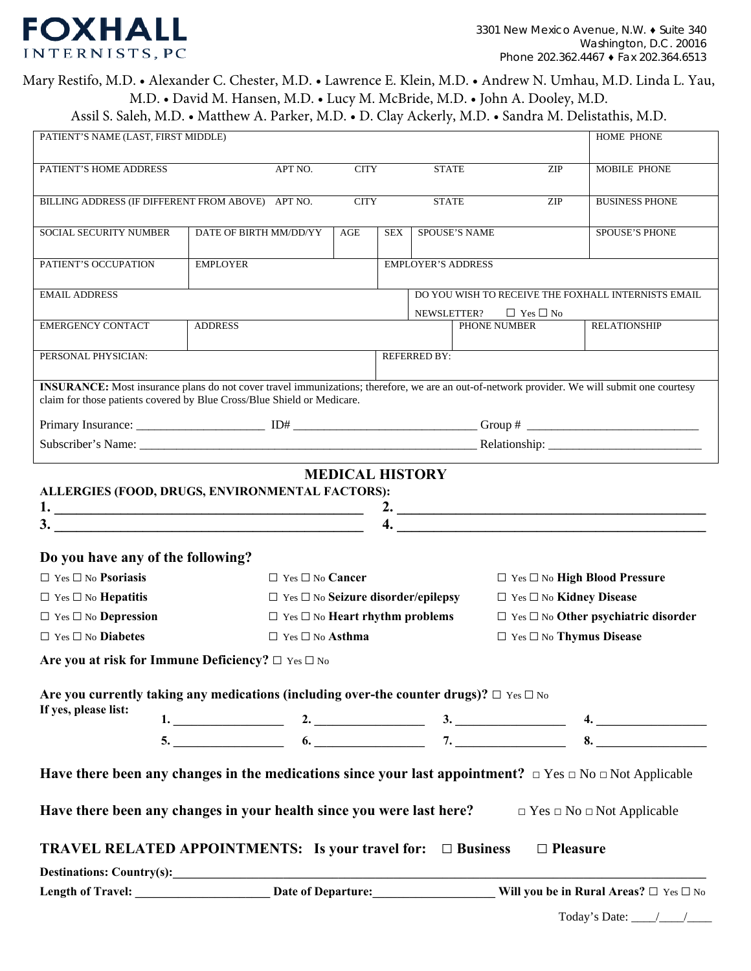# **FOXHALL** INTERNISTS, PC

# Mary Restifo, M.D. • Alexander C. Chester, M.D. • Lawrence E. Klein, M.D. • Andrew N. Umhau, M.D. Linda L. Yau, M.D. • David M. Hansen, M.D. • Lucy M. McBride, M.D. • John A. Dooley, M.D.

Assil S. Saleh, M.D. • Matthew A. Parker, M.D. • D. Clay Ackerly, M.D. • Sandra M. Delistathis, M.D.

| PATIENT'S NAME (LAST, FIRST MIDDLE)                                                                                                                                                                                     |                                    |                                                     |                                                   |               |     | HOME PHONE                                          |  |  |  |
|-------------------------------------------------------------------------------------------------------------------------------------------------------------------------------------------------------------------------|------------------------------------|-----------------------------------------------------|---------------------------------------------------|---------------|-----|-----------------------------------------------------|--|--|--|
| PATIENT'S HOME ADDRESS                                                                                                                                                                                                  | APT NO.                            | <b>CITY</b>                                         | <b>STATE</b><br>ZIP                               |               |     | MOBILE PHONE                                        |  |  |  |
| BILLING ADDRESS (IF DIFFERENT FROM ABOVE) APT NO.                                                                                                                                                                       |                                    | <b>CITY</b>                                         | <b>STATE</b>                                      |               | ZIP | <b>BUSINESS PHONE</b>                               |  |  |  |
| SOCIAL SECURITY NUMBER                                                                                                                                                                                                  | DATE OF BIRTH MM/DD/YY             | AGE                                                 | <b>SEX</b>                                        | SPOUSE'S NAME |     | <b>SPOUSE'S PHONE</b>                               |  |  |  |
| PATIENT'S OCCUPATION                                                                                                                                                                                                    | <b>EMPLOYER</b>                    |                                                     | <b>EMPLOYER'S ADDRESS</b>                         |               |     |                                                     |  |  |  |
| <b>EMAIL ADDRESS</b>                                                                                                                                                                                                    |                                    |                                                     |                                                   |               |     | DO YOU WISH TO RECEIVE THE FOXHALL INTERNISTS EMAIL |  |  |  |
| <b>EMERGENCY CONTACT</b>                                                                                                                                                                                                | <b>ADDRESS</b>                     | $\Box$ Yes $\Box$ No<br>NEWSLETTER?<br>PHONE NUMBER |                                                   |               |     | <b>RELATIONSHIP</b>                                 |  |  |  |
| PERSONAL PHYSICIAN:                                                                                                                                                                                                     | <b>REFERRED BY:</b>                |                                                     |                                                   |               |     |                                                     |  |  |  |
| INSURANCE: Most insurance plans do not cover travel immunizations; therefore, we are an out-of-network provider. We will submit one courtesy<br>claim for those patients covered by Blue Cross/Blue Shield or Medicare. |                                    |                                                     |                                                   |               |     |                                                     |  |  |  |
|                                                                                                                                                                                                                         |                                    |                                                     |                                                   |               |     |                                                     |  |  |  |
|                                                                                                                                                                                                                         |                                    |                                                     |                                                   |               |     |                                                     |  |  |  |
| <b>MEDICAL HISTORY</b><br>ALLERGIES (FOOD, DRUGS, ENVIRONMENTAL FACTORS):<br>2. $\overline{\phantom{a}}$<br>$\frac{3}{2}$                                                                                               |                                    |                                                     |                                                   |               |     |                                                     |  |  |  |
| Do you have any of the following?                                                                                                                                                                                       |                                    |                                                     |                                                   |               |     |                                                     |  |  |  |
| $\Box$ Yes $\Box$ No <b>Psoriasis</b>                                                                                                                                                                                   | $\Box$ Yes $\Box$ No <b>Cancer</b> |                                                     |                                                   |               |     | □ Yes □ No High Blood Pressure                      |  |  |  |
| $\Box$ Yes $\Box$ No <b>Hepatitis</b>                                                                                                                                                                                   |                                    |                                                     | $\Box$ Yes $\Box$ No Seizure disorder/epilepsy    |               |     | $\Box$ Yes $\Box$ No Kidney Disease                 |  |  |  |
| $\Box$ Yes $\Box$ No <b>Depression</b>                                                                                                                                                                                  |                                    |                                                     | $\Box$ Yes $\Box$ No <b>Heart rhythm problems</b> |               |     | $\Box$ Yes $\Box$ No Other psychiatric disorder     |  |  |  |
| $\Box$ Yes $\Box$ No <b>Diabetes</b>                                                                                                                                                                                    | $\Box$ Yes $\Box$ No <b>Asthma</b> |                                                     |                                                   |               |     | $\Box$ Yes $\Box$ No Thymus Disease                 |  |  |  |
| Are you at risk for Immune Deficiency? $\Box$ Yes $\Box$ No                                                                                                                                                             |                                    |                                                     |                                                   |               |     |                                                     |  |  |  |
| Are you currently taking any medications (including over-the counter drugs)? $\Box$ Yes $\Box$ No<br>If yes, please list:                                                                                               |                                    |                                                     |                                                   |               |     |                                                     |  |  |  |
|                                                                                                                                                                                                                         |                                    |                                                     |                                                   |               |     |                                                     |  |  |  |
|                                                                                                                                                                                                                         | $5.$ 8.                            |                                                     |                                                   |               |     |                                                     |  |  |  |
| Have there been any changes in the medications since your last appointment? $\Box$ Yes $\Box$ No $\Box$ Not Applicable                                                                                                  |                                    |                                                     |                                                   |               |     |                                                     |  |  |  |
| Have there been any changes in your health since you were last here? $\Box$ Yes $\Box$ No $\Box$ Not Applicable                                                                                                         |                                    |                                                     |                                                   |               |     |                                                     |  |  |  |
| <b>TRAVEL RELATED APPOINTMENTS:</b> Is your travel for: $\Box$ Business $\Box$ Pleasure                                                                                                                                 |                                    |                                                     |                                                   |               |     |                                                     |  |  |  |
|                                                                                                                                                                                                                         |                                    |                                                     |                                                   |               |     |                                                     |  |  |  |